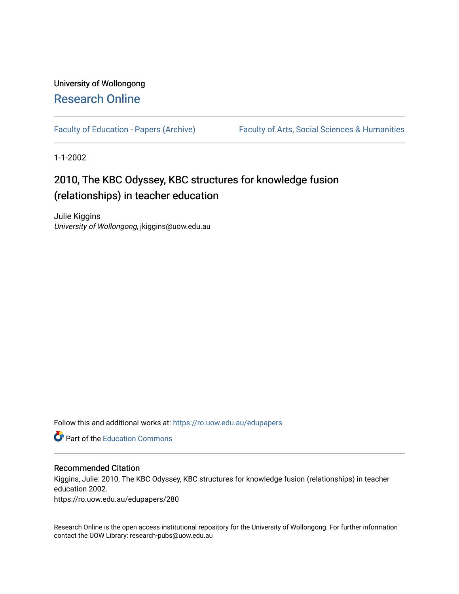## University of Wollongong [Research Online](https://ro.uow.edu.au/)

[Faculty of Education - Papers \(Archive\)](https://ro.uow.edu.au/edupapers) Faculty of Arts, Social Sciences & Humanities

1-1-2002

# 2010, The KBC Odyssey, KBC structures for knowledge fusion (relationships) in teacher education

Julie Kiggins University of Wollongong, jkiggins@uow.edu.au

Follow this and additional works at: [https://ro.uow.edu.au/edupapers](https://ro.uow.edu.au/edupapers?utm_source=ro.uow.edu.au%2Fedupapers%2F280&utm_medium=PDF&utm_campaign=PDFCoverPages) 

**Part of the [Education Commons](http://network.bepress.com/hgg/discipline/784?utm_source=ro.uow.edu.au%2Fedupapers%2F280&utm_medium=PDF&utm_campaign=PDFCoverPages)** 

#### Recommended Citation

Kiggins, Julie: 2010, The KBC Odyssey, KBC structures for knowledge fusion (relationships) in teacher education 2002.

https://ro.uow.edu.au/edupapers/280

Research Online is the open access institutional repository for the University of Wollongong. For further information contact the UOW Library: research-pubs@uow.edu.au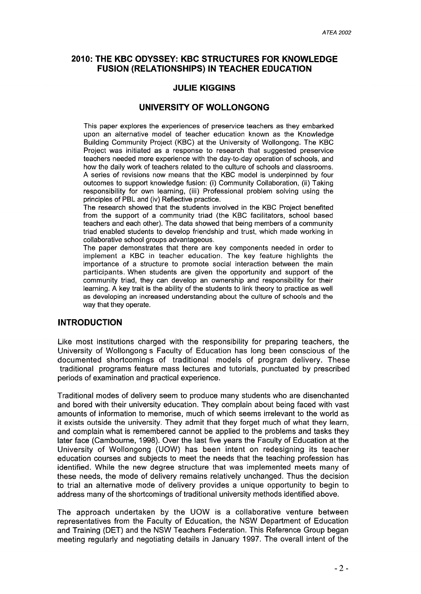## **2010: THE KBC ODYSSEY: KBC STRUCTURES FOR KNOWLEDGE FUSION (RELATIONSHIPS) IN TEACHER EDUCATION**

## **JULIE KIGGINS**

## **UNIVERSITY OF WOLLONGONG**

This paper explores the experiences of preservice teachers as they embarked upon an alternative model of teacher education known as the Knowledge Building Community Project (KBC) at the University of Wollongong. The KBC Project was initiated as a response to research that suggested preservice teachers needed more experience with the day-to-day operation of schools, and how the daily work of teachers related to the culture of schools and classrooms. A series of revisions now means that the KBC model is underpinned by four outcomes to support knowledge fusion: (i) Community Collaboration, (ii) Taking responsibility for own learning, (iii) Professional problem solving using the principles of PBL and (iv) Reflective practice.

The research showed that the students involved in the KBC Project benefited from the support of a community triad (the KBC facilitators, school based teachers and each other). The data showed that being members of a community triad enabled students to develop friendship and trust, which made working in collaborative school groups advantageous.

The paper demonstrates that there are key components needed in order to implement a KBC in teacher education. The key feature highlights the importance of a structure to promote social interaction between the main participants. When students are given the opportunity and support of the community triad, they can develop an ownership and responsibility for their learning. A key trait is the ability of the students to link theory to practice as well as developing an increased understanding about the culture of schools and the way that they operate.

## **INTRODUCTION**

Like most institutions charged with the responsibility for preparing teachers, the University of Wollongong s Faculty of Education has long been conscious of the documented shortcomings of traditional models of program delivery. These traditional programs feature mass lectures and tutorials, punctuated by prescribed periods of examination and practical experience.

Traditional modes of delivery seem to produce many students who are disenchanted and bored with their university education. They complain about being faced with vast amounts of information to memorise, much of which seems irrelevant to the world as it exists outside the university. They admit that they forget much of what they learn, and complain what is remembered cannot be applied to the problems and tasks they later face (Cambourne, 1998). Over the last five years the Faculty of Education at the University of Wollongong (UOW) has been intent on redesigning its teacher education courses and subjects to meet the needs that the teaching profession has identified. While the new degree structure that was implemented meets many of these needs, the mode of delivery remains relatively unchanged. Thus the decision to trial an alternative mode of delivery provides a unique opportunity to begin to address many of the shortcomings of traditional university methods identified above.

The approach undertaken by the UOW is a collaborative venture between representatives from the Faculty of Education, the NSW Department of Education and Training (DET) and the NSW Teachers Federation. This Reference Group began meeting regularly and negotiating details in January 1997. The overall intent of the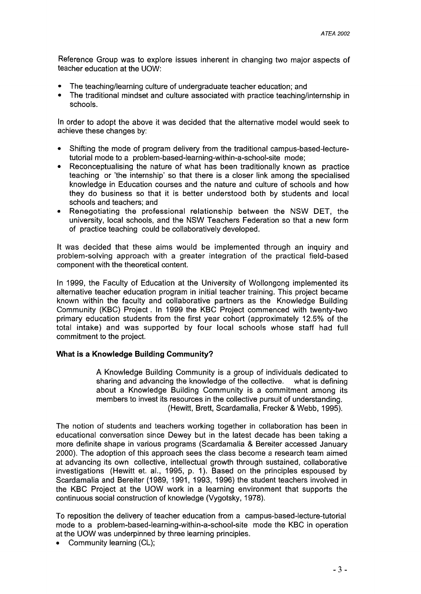Reference Group was to explore issues inherent in changing two major aspects of teacher education at the UOW:

- The teaching/learning culture of undergraduate teacher education; and
- The traditional mindset and culture associated with practice teaching/internship in schools.

In order to adopt the above it was decided that the alternative model would seek to achieve these changes by:

- Shifting the mode of program delivery from the traditional campus-based-Iecturetutorial mode to a problem-based-Iearning-within-a-school-site mode;
- Reconceptualising the nature of what has been traditionally known as practice teaching or 'the internship' so that there is a closer link among the specialised knowledge in Education courses and the nature and culture of schools and how they do business so that it is better understood both by students and local schools and teachers; and
- Renegotiating the professional relationship between the NSW DET, the university, local schools, and the NSW Teachers Federation so that a new form of practice teaching could be collaboratively developed.

It was decided that these aims would be implemented through an inquiry and problem-solving approach with a greater integration of the practical field-based component with the theoretical content.

In 1999, the Faculty of Education at the University of Wollongong implemented its alternative teacher education program in initial teacher training. This project became known within the faculty and collaborative partners as the Knowledge Building Community (KBC) Project. In 1999 the KBC Project commenced with twenty-two primary education students from the first year cohort (approximately 12.5% of the total intake) and was supported by four local schools whose staff had full commitment to the project.

#### What is a Knowledge Building Community?

A Knowledge Building Community is a group of individuals dedicated to sharing and advancing the knowledge of the collective. what is defining about a Knowledge Building Community is a commitment among its members to invest its resources in the collective pursuit of understanding. (Hewitt, Brett, Scardamalia, Frecker & Webb, 1995).

The notion of students and teachers working together in collaboration has been in educational conversation since Dewey but in the latest decade has been taking a more definite shape in various programs (Scardamalia & Bereiter accessed January 2000). The adoption of this approach sees the class become a research team aimed at advancing its own collective, intellectual growth through sustained, collaborative investigations (Hewitt et. aI., 1995, p. 1). Based on the principles espoused by Scardamalia and Bereiter (1989, 1991, 1993, 1996) the student teachers involved in the KBC Project at the UOW work in a learning environment that supports the continuous social construction of knowledge (Vygotsky, 1978).

To reposition the delivery of teacher education from a campus-based-Iecture-tutorial mode to a problem-based-Iearning-within-a-school-site mode the KBC in operation at the UOW was underpinned by three learning principles.

• Community learning (CL);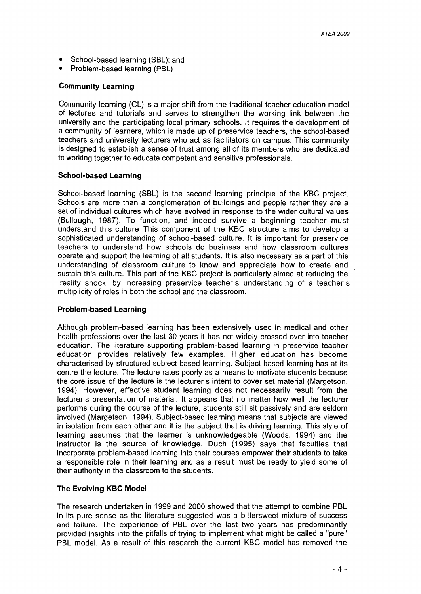- School-based learning (SBL); and
- Problem-based learning (PBl)

#### **Community Learning**

Community learning (Cl) is a major shift from the traditional teacher education model of lectures and tutorials and serves to strengthen the working link between the university and the participating local primary schools. It requires the development of a community of learners, which is made up of preservice teachers, the school-based teachers and university lecturers who act as facilitators on campus. This community is designed to establish a sense of trust among all of its members who are dedicated to working together to educate competent and sensitive professionals.

#### **School-based Learning**

School-based learning (SBl) is the second learning principle of the KBC project. Schools are more than a conglomeration of buildings and people rather they are a set of individual cultures which have evolved in response to the wider cultural values (Bullough, 1987). To function, and indeed survive a beginning teacher must understand this culture This component of the KBC structure aims to develop a sophisticated understanding of school-based culture. It is important for preservice teachers to understand how schools do business and how classroom cultures operate and support the learning of all students. It is also necessary as a part of this understanding of classroom culture to know and appreciate how to create and sustain this culture. This part of the KBC project is particularly aimed at reducing the reality shock by increasing preservice teacher s understanding of a teacher s multiplicity of roles in both the school and the classroom.

#### **Problem-based Learning**

Although problem-based learning has been extensively used in medical and other health professions over the last 30 years it has not widely crossed over into teacher education. The literature supporting problem-based learning in preservice teacher education provides relatively few examples. Higher education has become characterised by structured subject based learning. Subject based learning has at its centre the lecture. The lecture rates poorly as a means to motivate students because the core issue of the lecture is the lecturer s intent to cover set material (Margetson, 1994). However, effective student learning does not necessarily result from the lecturer s presentation of material. It appears that no matter how well the lecturer performs during the course of the lecture, students still sit passively and are seldom involved (Margetson, 1994). Subject-based learning means that subjects are viewed in isolation from each other and it is the subject that is driving learning. This style of learning assumes that the learner is unknowledgeable (Woods, 1994) and the instructor is the source of knowledge. Duch (1995) says that faculties that incorporate problem-based learning into their courses empower their students to take a responsible role in their learning and as a result must be ready to yield some of their authority in the classroom to the students.

### **The Evolving KBC Model**

The research undertaken in 1999 and 2000 showed that the attempt to combine PBl in its pure sense as the literature suggested was a bittersweet mixture of success and failure. The experience of PBl over the last two years has predominantly provided insights into the pitfalls of trying to implement what might be called a "pure" PBL model. As a result of this research the current KBC model has removed the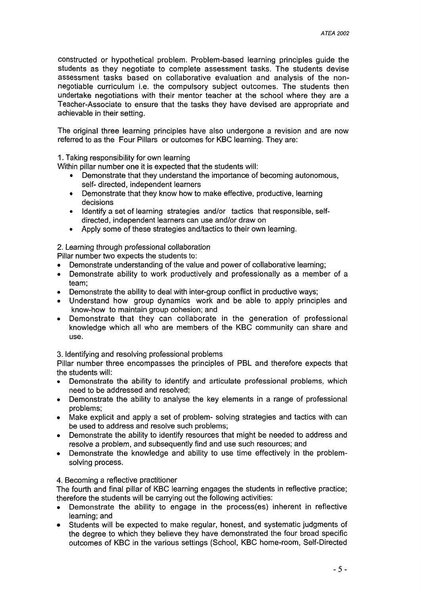constructed or hypothetical problem. Problem-based learning principles guide the students as they negotiate to complete assessment tasks. The students devise assessment tasks based on collaborative evaluation and analysis of the nonnegotiable curriculum i.e. the compulsory subject outcomes. The students then undertake negotiations with their mentor teacher at the school where they are a Teacher-Associate to ensure that the tasks they have devised are appropriate and achievable in their setting.

The original three learning principles have also undergone a revision and are now referred to as the Four Pillars or outcomes for KBC learning. They are:

1. Taking responsibility for own learning

Within pillar number one it is expected that the students will:

- Demonstrate that they understand the importance of becoming autonomous, self- directed, independent learners
- Demonstrate that they know how to make effective, productive, learning decisions
- Identify a set of learning strategies and/or tactics that responsible, selfdirected, independent learners can use and/or draw on
- Apply some of these strategies and/tactics to their own learning.

2. Learning through professional collaboration

Pillar number two expects the students to:

- Demonstrate understanding of the value and power of collaborative learning;
- Demonstrate ability to work productively and professionally as a member of a team;
- Demonstrate the ability to deal with inter-group conflict in productive ways;
- Understand how group dynamics work and be able to apply principles and know-how to maintain group cohesion; and
- Demonstrate that they can collaborate in the generation of professional knowledge which all who are members of the KBC community can share and use.

3. Identifying and resolving professional problems

Pillar number three encompasses the principles of PBL and therefore expects that the students will:

- Demonstrate the ability to identify and articulate professional problems, which need to be addressed and resolved;
- Demonstrate the ability to analyse the key elements in a range of professional problems;
- Make explicit and apply a set of problem- solving strategies and tactics with can be used to address and resolve such problems;
- Demonstrate the ability to identify resources that might be needed to address and resolve a problem, and subsequently find and use such resources; and
- Demonstrate the knowledge and ability to use time effectively in the problemsolving process.

#### 4. Becoming a reflective practitioner

The fourth and final pillar of KBC learning engages the students in reflective practice; therefore the students will be carrying out the following activities:

- Demonstrate the ability to engage in the process(es) inherent in reflective learning; and
- Students will be expected to make regular, honest, and systematic judgments of the degree to which they believe they have demonstrated the four broad specific outcomes of KBC in the various settings (School, KBC home-room, Self-Directed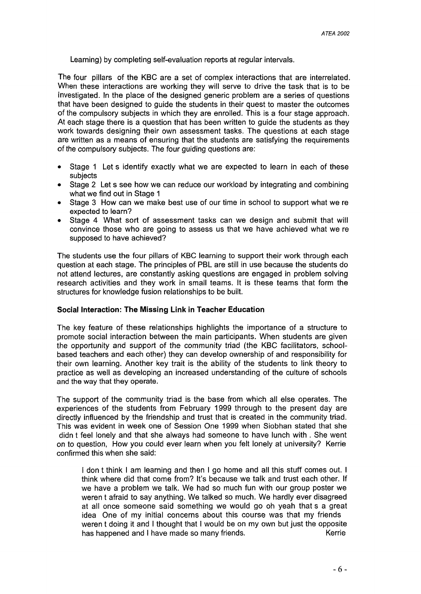Learning) by completing self-evaluation reports at regular intervals.

The four pillars of the KBC are a set of complex interactions that are interrelated. When these interactions are working they will serve to drive the task that is to be investigated. In the place of the designed generic problem are a series of questions that have been designed to guide the students in their quest to master the outcomes of the compulsory subjects in which they are enrolled. This is a four stage approach. At each stage there is a question that has been written to guide the students as they work towards designing their own assessment tasks. The questions at each stage are written as a means of ensuring that the students are satisfying the requirements of the compulsory subjects. The four guiding questions are:

- Stage 1 Let s identify exactly what we are expected to learn in each of these subjects
- Stage 2 Let s see how we can reduce our workload by integrating and combining what we find out in Stage 1
- Stage 3 How can we make best use of our time in school to support what we re expected to learn?
- Stage 4 What sort of assessment tasks can we design and submit that will convince those who are going to assess us that we have achieved what we re supposed to have achieved?

The students use the four pillars of KBC learning to support their work through each question at each stage. The principles of PBL are still in use because the students do not attend lectures, are constantly asking questions are engaged in problem solving research activities and they work in small teams. It is these teams that form the structures for knowledge fusion relationships to be built.

#### Social Interaction: The Missing Link in Teacher Education

The key feature of these relationships highlights the importance of a structure to promote social interaction between the main participants. When students are given the opportunity and support of the community triad (the KBC facilitators, schoolbased teachers and each other) they can develop ownership of and responsibility for their own learning. Another key trait is the ability of the students to link theory to practice as well as developing an increased understanding of the culture of schools and the way that they operate.

The support of the community triad is the base from which all else operates. The experiences of the students from February 1999 through to the present day are directly influenced by the friendship and trust that is created in the community triad. This was evident in week one of Session One 1999 when Siobhan stated that she didn t feel lonely and that she always had someone to have lunch with. She went on to question, How you could ever learn when you felt lonely at university? Kerrie confirmed this when she said:

I don t think I am learning and then I go home and all this stuff comes out. I think where did that come from? It's because we talk and trust each other. If we have a problem we talk. We had so much fun with our group poster we weren t afraid to say anything. We talked so much. We hardly ever disagreed at all once someone said something we would go oh yeah that s a great idea One of my initial concerns about this course was that my friends weren t doing it and I thought that I would be on my own but just the opposite has happened and I have made so many friends.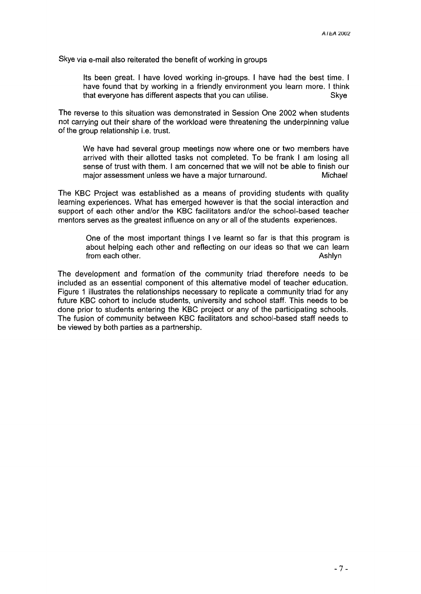Skye via e-mail also reiterated the benefit of working in groups

Its been great. I have loved working in-groups. I have had the best time. I have found that by working in a friendly environment you learn more. I think that everyone has different aspects that you can utilise. Skye

The reverse to this situation was demonstrated in Session One 2002 when students not carrying out their share of the workload were threatening the underpinning value of the group relationship i.e. trust.

We have had several group meetings now where one or two members have arrived with their allotted tasks not completed. To be frank I am losing all sense of trust with them. I am concerned that we will not be able to finish our major assessment unless we have a major turnaround. Michael

The KBC Project was established as a means of providing students with quality learning experiences. What has emerged however is that the social interaction and support of each other and/or the KBC facilitators and/or the school-based teacher mentors serves as the greatest influence on any or all of the students experiences.

One of the most important things I ve learnt so far is that this program is about helping each other and reflecting on our ideas so that we can learn from each other. Ashlyn and the state of the state of the state of the state of the state of the state of the state of the state of the state of the state of the state of the state of the state of the state of the state of

The development and formation of the community triad therefore needs to be included as an essential component of this alternative model of teacher education. Figure 1 illustrates the relationships necessary to replicate a community triad for any future KBC cohort to include students, university and school staff. This needs to be done prior to students entering the KBC project or any of the participating schools. The fusion of community between KBC facilitators and school-based staff needs to be viewed by both parties as a partnership.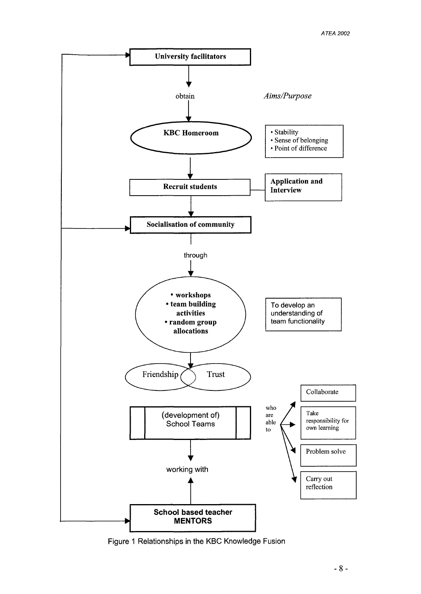

Figure 1 Relationships in the KBC Knowledge Fusion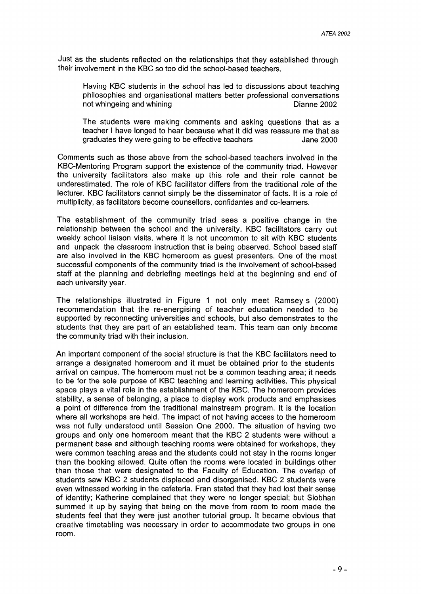Just as the students reflected on the relationships that they established through their involvement in the KBC so too did the school-based teachers.

Having KBC students in the school has led to discussions about teaching philosophies and organisational matters better professional conversations not whingeing and whining notice is a control of the Dianne 2002

The students were making comments and asking questions that as a teacher I have longed to hear because what it did was reassure me that as graduates they were going to be effective teachers **Jane 2000** 

Comments such as those above from the school-based teachers involved in the KBC-Mentoring Program support the existence of the community triad. However the university facilitators also make up this role and their role cannot be underestimated. The role of KBC facilitator differs from the traditional role of the lecturer. KBC facilitators cannot simply be the disseminator of facts. It is a role of multiplicity, as facilitators become counsellors, confidantes and co-learners.

The establishment of the community triad sees a positive change in the relationship between the school and the university. KBC facilitators carry out weekly school liaison visits, where it is not uncommon to sit with KBC students and unpack the classroom instruction that is being observed. School based staff are also involved in the KBC homeroom as guest presenters. One of the most successful components of the community triad is the involvement of school-based staff at the planning and debriefing meetings held at the beginning and end of each university year.

The relationships illustrated in Figure 1 not only meet Ramsey s (2000) recommendation that the re-energising of teacher education needed to be supported by reconnecting universities and schools, but also demonstrates to the students that they are part of an established team. This team can only become the community triad with their inclusion.

An important component of the social structure is that the KBC facilitators need to arrange a designated homeroom and it must be obtained prior to the students arrival on campus. The homeroom must not be a common teaching area; it needs to be for the sole purpose of KBC teaching and learning activities. This physical space plays a vital role in the establishment of the KBC. The homeroom provides stability, a sense of belonging, a place to display work products and emphasises a point of difference from the traditional mainstream program. It is the location where all workshops are held. The impact of not having access to the homeroom was not fully understood until Session One 2000. The situation of having two groups and only one homeroom meant that the KBC 2 students were without a permanent base and although teaching rooms were obtained for workshops, they were common teaching areas and the students could not stay in the rooms longer than the booking allowed. Quite often the rooms were located in buildings other than those that were designated to the Faculty of Education. The overlap of students saw KBC 2 students displaced and disorganised. KBC 2 students were even witnessed working in the cafeteria. Fran stated that they had lost their sense of identity; Katherine complained that they were no longer special; but Siobhan summed it up by saying that being on the move from room to room made the students feel that they were just another tutorial group. It became obvious that creative timetabling was necessary in order to accommodate two groups in one room.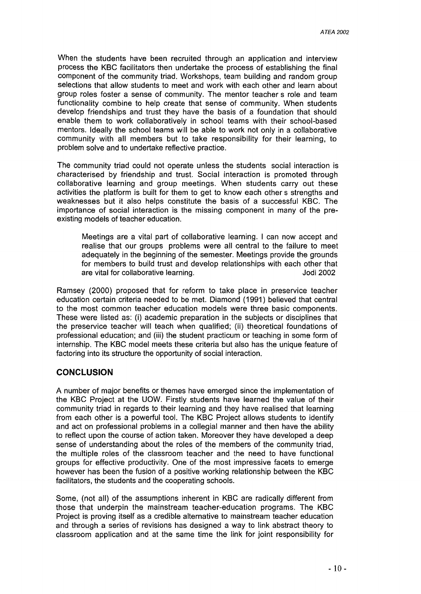When the students have been recruited through an application and interview process the KBC facilitators then undertake the process of establishing the final component of the community triad. Workshops, team building and random group selections that allow students to meet and work with each other and learn about group roles foster a sense of community. The mentor teacher s role and team functionality combine to help create that sense of community. When students develop friendships and trust they have the basis of a foundation that should enable them to work collaboratively in school teams with their school-based mentors. Ideally the school teams will be able to work not only in a collaborative community with all members but to take responsibility for their learning, to problem solve and to undertake reflective practice.

The community triad could not operate unless the students social interaction is characterised by friendship and trust. Social interaction is promoted through collaborative learning and group meetings. When students carry out these activities the platform is built for them to get to know each other s strengths and weaknesses but it also helps constitute the basis of a successful KBC. The importance of social interaction is the missing component in many of the preexisting models of teacher education.

Meetings are a vital part of collaborative learning. I can now accept and realise that our groups problems were all central to the failure to meet adequately in the beginning of the semester. Meetings provide the grounds for members to build trust and develop relationships with each other that are vital for collaborative learning. Jodi 2002

Ramsey (2000) proposed that for reform to take place in preservice teacher education certain criteria needed to be met. Diamond (1991) believed that central to the most common teacher education models were three basic components. These were listed as: (i) academic preparation in the subjects or disciplines that the preservice teacher will teach when qualified; (ii) theoretical foundations of professional education; and (iii) the student practicum or teaching in some form of internship. The KBC model meets these criteria but also has the unique feature of factoring into its structure the opportunity of social interaction.

#### **CONCLUSION**

A number of major benefits or themes have emerged since the implementation of the KBC Project at the UOW. Firstly students have learned the value of their community triad in regards to their learning and they have realised that learning from each other is a powerful tool. The KBC Project allows students to identify and act on professional problems in a collegial manner and then have the ability to reflect upon the course of action taken. Moreover they have developed a deep sense of understanding about the roles of the members of the community triad, the multiple roles of the classroom teacher and the need to have functional groups for effective productivity. One of the most impressive facets to emerge however has been the fusion of a positive working relationship between the KBC facilitators, the students and the cooperating schools.

Some, (not all) of the assumptions inherent in KBC are radically different from those that underpin the mainstream teacher-education programs. The KBC Project is proving itself as a credible alternative to mainstream teacher education and through a series of revisions has designed a way to link abstract theory to classroom application and at the same time the link for joint responsibility for